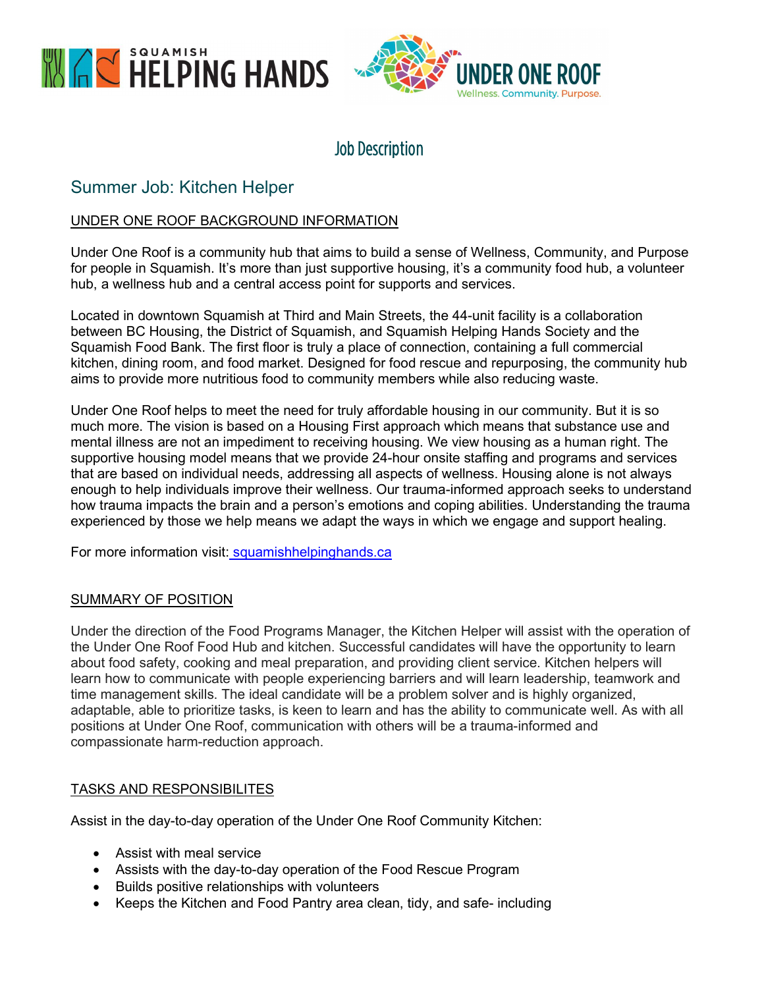



# Job Description

# Summer Job: Kitchen Helper

# UNDER ONE ROOF BACKGROUND INFORMATION

Under One Roof is a community hub that aims to build a sense of Wellness, Community, and Purpose for people in Squamish. It's more than just supportive housing, it's a community food hub, a volunteer hub, a wellness hub and a central access point for supports and services.

Located in downtown Squamish at Third and Main Streets, the 44-unit facility is a collaboration between BC Housing, the District of Squamish, and Squamish Helping Hands Society and the Squamish Food Bank. The first floor is truly a place of connection, containing a full commercial kitchen, dining room, and food market. Designed for food rescue and repurposing, the community hub aims to provide more nutritious food to community members while also reducing waste.

Under One Roof helps to meet the need for truly affordable housing in our community. But it is so much more. The vision is based on a Housing First approach which means that substance use and mental illness are not an impediment to receiving housing. We view housing as a human right. The supportive housing model means that we provide 24-hour onsite staffing and programs and services that are based on individual needs, addressing all aspects of wellness. Housing alone is not always enough to help individuals improve their wellness. Our trauma-informed approach seeks to understand how trauma impacts the brain and a person's emotions and coping abilities. Understanding the trauma experienced by those we help means we adapt the ways in which we engage and support healing.

For more information visit: squamishhelpinghands.ca

## SUMMARY OF POSITION

Under the direction of the Food Programs Manager, the Kitchen Helper will assist with the operation of the Under One Roof Food Hub and kitchen. Successful candidates will have the opportunity to learn about food safety, cooking and meal preparation, and providing client service. Kitchen helpers will learn how to communicate with people experiencing barriers and will learn leadership, teamwork and time management skills. The ideal candidate will be a problem solver and is highly organized, adaptable, able to prioritize tasks, is keen to learn and has the ability to communicate well. As with all positions at Under One Roof, communication with others will be a trauma-informed and compassionate harm-reduction approach.

## TASKS AND RESPONSIBILITES

Assist in the day-to-day operation of the Under One Roof Community Kitchen:

- Assist with meal service
- Assists with the day-to-day operation of the Food Rescue Program
- Builds positive relationships with volunteers
- Keeps the Kitchen and Food Pantry area clean, tidy, and safe- including